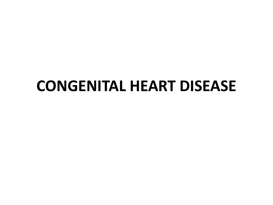#### **CONGENITAL HEART DISEASE**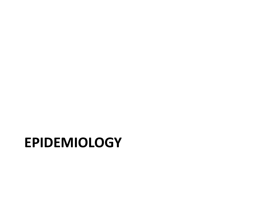#### **EPIDEMIOLOGY**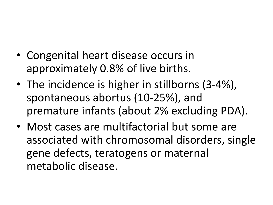- Congenital heart disease occurs in approximately 0.8% of live births.
- The incidence is higher in stillborns (3-4%), spontaneous abortus (10-25%), and premature infants (about 2% excluding PDA).
- Most cases are multifactorial but some are associated with chromosomal disorders, single gene defects, teratogens or maternal metabolic disease.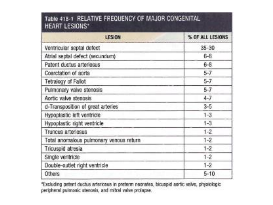|                       | Table 418-1 RELATIVE FREQUENCY OF MAJOR CONGENITAL |  |
|-----------------------|----------------------------------------------------|--|
| <b>HEART LESIONS*</b> |                                                    |  |

| <b>LESION</b>                           | % OF ALL LESIONS |
|-----------------------------------------|------------------|
| Ventricular septal defect               | $35 - 30$        |
| Atrial septal defect (secundum)         | $6 - 8$          |
| Patent ductus arteriosus                | $6 - 8$          |
| Coarctation of aorta                    | $5 - 7$          |
| Tetralogy of Fallot                     | $5 - 7$          |
| Pulmonary valve stenosis                | $5 - 7$          |
| Aortic valve stenosis                   | $4 - 7$          |
| d-Transposition of great arteries       | $3 - 5$          |
| Hypoplastic left ventricle              | $1 - 3$          |
| Hypoplastic right ventricle             | $1 - 3$          |
| Truncus arteriosus                      | $1-2$            |
| Total anomalous pulmonary venous return | $1 - 2$          |
| Tricuspid atresia                       | $1 - 2$          |
| Single ventricle                        | $1 - 2$          |
| Double-outlet right vantricle           | $1-2$            |
| Others                                  | $5 - 10$         |
|                                         |                  |

"Excluding patent ductus arteriosus in preterm neonates, bicuspid aortic valve, physiologic peripheral pulmonic stenosis, and mitral valve prolapse.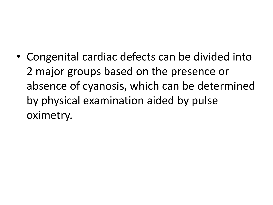• Congenital cardiac defects can be divided into 2 major groups based on the presence or absence of cyanosis, which can be determined by physical examination aided by pulse oximetry.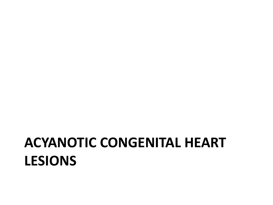### **ACYANOTIC CONGENITAL HEART LESIONS**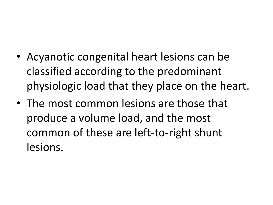- Acyanotic congenital heart lesions can be classified according to the predominant physiologic load that they place on the heart.
- The most common lesions are those that produce a volume load, and the most common of these are left-to-right shunt lesions.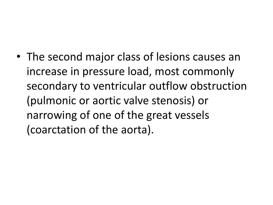• The second major class of lesions causes an increase in pressure load, most commonly secondary to ventricular outflow obstruction (pulmonic or aortic valve stenosis) or narrowing of one of the great vessels (coarctation of the aorta).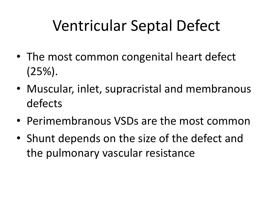# Ventricular Septal Defect

- The most common congenital heart defect (25%).
- Muscular, inlet, supracristal and membranous defects
- Perimembranous VSDs are the most common
- Shunt depends on the size of the defect and the pulmonary vascular resistance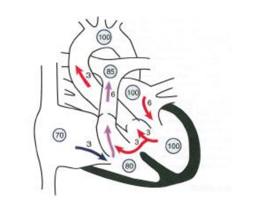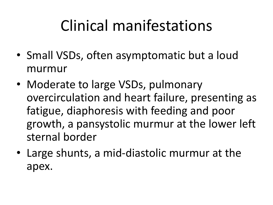- Small VSDs, often asymptomatic but a loud murmur
- Moderate to large VSDs, pulmonary overcirculation and heart failure, presenting as fatigue, diaphoresis with feeding and poor growth, a pansystolic murmur at the lower left sternal border
- Large shunts, a mid-diastolic murmur at the apex.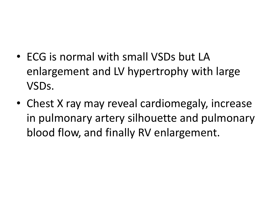- ECG is normal with small VSDs but LA enlargement and LV hypertrophy with large VSDs.
- Chest X ray may reveal cardiomegaly, increase in pulmonary artery silhouette and pulmonary blood flow, and finally RV enlargement.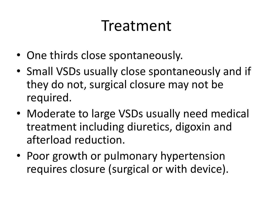- One thirds close spontaneously.
- Small VSDs usually close spontaneously and if they do not, surgical closure may not be required.
- Moderate to large VSDs usually need medical treatment including diuretics, digoxin and afterload reduction.
- Poor growth or pulmonary hypertension requires closure (surgical or with device).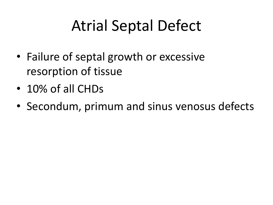# Atrial Septal Defect

- Failure of septal growth or excessive resorption of tissue
- 10% of all CHDs
- Secondum, primum and sinus venosus defects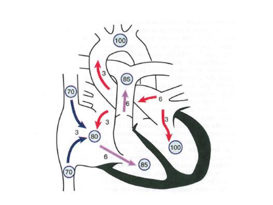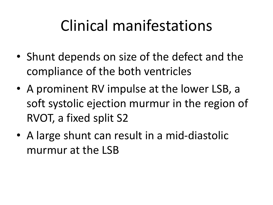- Shunt depends on size of the defect and the compliance of the both ventricles
- A prominent RV impulse at the lower LSB, a soft systolic ejection murmur in the region of RVOT, a fixed split S2
- A large shunt can result in a mid-diastolic murmur at the LSB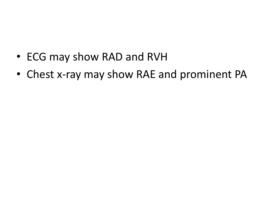- ECG may show RAD and RVH
- Chest x-ray may show RAE and prominent PA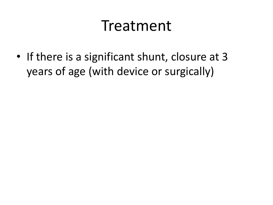• If there is a significant shunt, closure at 3 years of age (with device or surgically)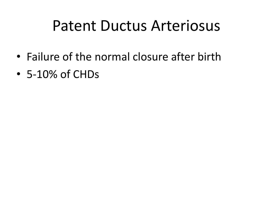### Patent Ductus Arteriosus

- Failure of the normal closure after birth
- 5-10% of CHDs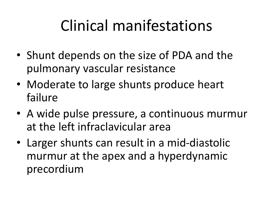- Shunt depends on the size of PDA and the pulmonary vascular resistance
- Moderate to large shunts produce heart failure
- A wide pulse pressure, a continuous murmur at the left infraclavicular area
- Larger shunts can result in a mid-diastolic murmur at the apex and a hyperdynamic precordium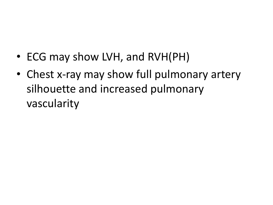- ECG may show LVH, and RVH(PH)
- Chest x-ray may show full pulmonary artery silhouette and increased pulmonary vascularity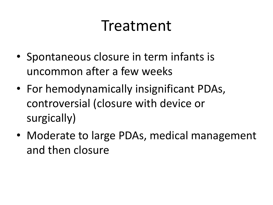- Spontaneous closure in term infants is uncommon after a few weeks
- For hemodynamically insignificant PDAs, controversial (closure with device or surgically)
- Moderate to large PDAs, medical management and then closure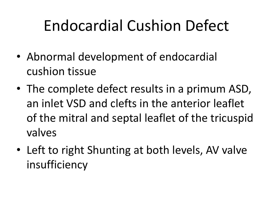# Endocardial Cushion Defect

- Abnormal development of endocardial cushion tissue
- The complete defect results in a primum ASD, an inlet VSD and clefts in the anterior leaflet of the mitral and septal leaflet of the tricuspid valves
- Left to right Shunting at both levels, AV valve insufficiency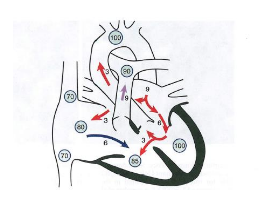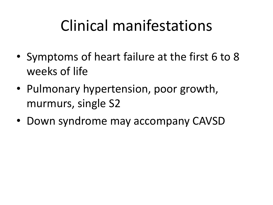- Symptoms of heart failure at the first 6 to 8 weeks of life
- Pulmonary hypertension, poor growth, murmurs, single S2
- Down syndrome may accompany CAVSD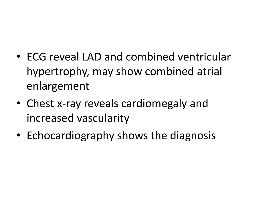- ECG reveal LAD and combined ventricular hypertrophy, may show combined atrial enlargement
- Chest x-ray reveals cardiomegaly and increased vascularity
- Echocardiography shows the diagnosis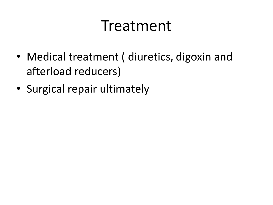- Medical treatment ( diuretics, digoxin and afterload reducers)
- Surgical repair ultimately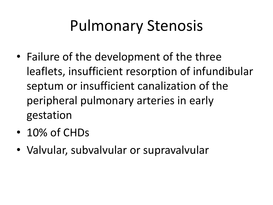# Pulmonary Stenosis

- Failure of the development of the three leaflets, insufficient resorption of infundibular septum or insufficient canalization of the peripheral pulmonary arteries in early gestation
- 10% of CHDs
- Valvular, subvalvular or supravalvular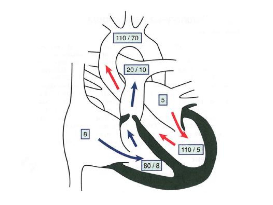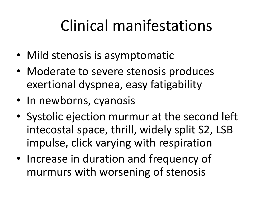- Mild stenosis is asymptomatic
- Moderate to severe stenosis produces exertional dyspnea, easy fatigability
- In newborns, cyanosis
- Systolic ejection murmur at the second left intecostal space, thrill, widely split S2, LSB impulse, click varying with respiration
- Increase in duration and frequency of murmurs with worsening of stenosis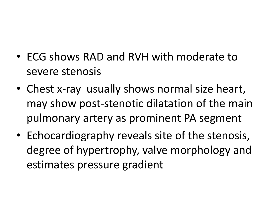- ECG shows RAD and RVH with moderate to severe stenosis
- Chest x-ray usually shows normal size heart, may show post-stenotic dilatation of the main pulmonary artery as prominent PA segment
- Echocardiography reveals site of the stenosis, degree of hypertrophy, valve morphology and estimates pressure gradient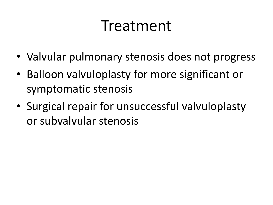- Valvular pulmonary stenosis does not progress
- Balloon valvuloplasty for more significant or symptomatic stenosis
- Surgical repair for unsuccessful valvuloplasty or subvalvular stenosis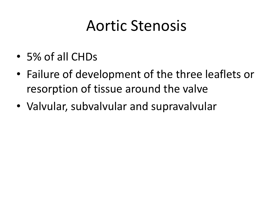### Aortic Stenosis

- 5% of all CHDs
- Failure of development of the three leaflets or resorption of tissue around the valve
- Valvular, subvalvular and supravalvular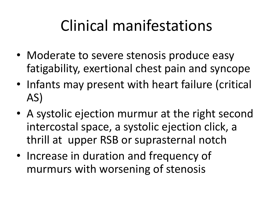- Moderate to severe stenosis produce easy fatigability, exertional chest pain and syncope
- Infants may present with heart failure (critical AS)
- A systolic ejection murmur at the right second intercostal space, a systolic ejection click, a thrill at upper RSB or suprasternal notch
- Increase in duration and frequency of murmurs with worsening of stenosis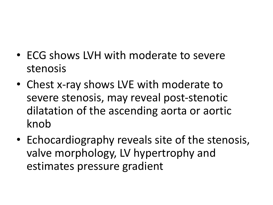- ECG shows LVH with moderate to severe stenosis
- Chest x-ray shows LVE with moderate to severe stenosis, may reveal post-stenotic dilatation of the ascending aorta or aortic knob
- Echocardiography reveals site of the stenosis, valve morphology, LV hypertrophy and estimates pressure gradient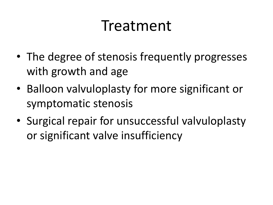- The degree of stenosis frequently progresses with growth and age
- Balloon valvuloplasty for more significant or symptomatic stenosis
- Surgical repair for unsuccessful valvuloplasty or significant valve insufficiency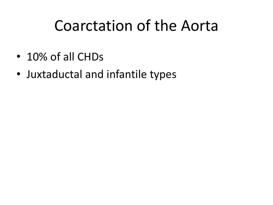### Coarctation of the Aorta

- 10% of all CHDs
- Juxtaductal and infantile types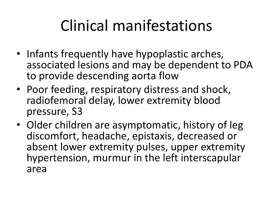- Infants frequently have hypoplastic arches, associated lesions and may be dependent to PDA to provide descending aorta flow
- Poor feeding, respiratory distress and shock, radiofemoral delay, lower extremity blood pressure, S3
- Older children are asymptomatic, history of leg discomfort, headache, epistaxis, decreased or absent lower extremity pulses, upper extremity hypertension, murmur in the left interscapular area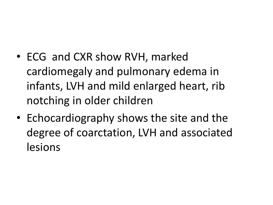- ECG and CXR show RVH, marked cardiomegaly and pulmonary edema in infants, LVH and mild enlarged heart, rib notching in older children
- Echocardiography shows the site and the degree of coarctation, LVH and associated lesions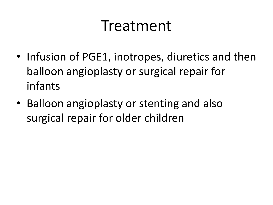- Infusion of PGE1, inotropes, diuretics and then balloon angioplasty or surgical repair for infants
- Balloon angioplasty or stenting and also surgical repair for older children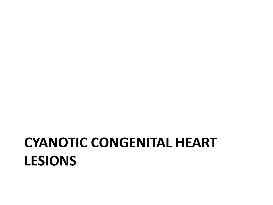### **CYANOTIC CONGENITAL HEART LESIONS**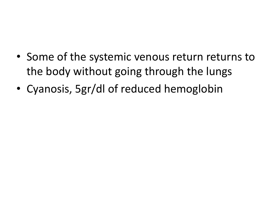- Some of the systemic venous return returns to the body without going through the lungs
- Cyanosis, 5gr/dl of reduced hemoglobin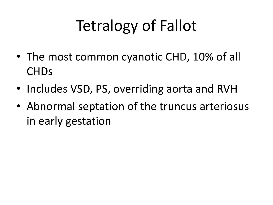# Tetralogy of Fallot

- The most common cyanotic CHD, 10% of all **CHD<sub>S</sub>**
- Includes VSD, PS, overriding aorta and RVH
- Abnormal septation of the truncus arteriosus in early gestation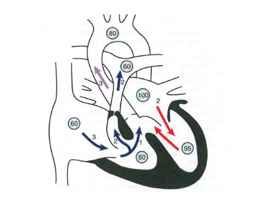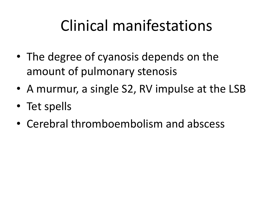- The degree of cyanosis depends on the amount of pulmonary stenosis
- A murmur, a single S2, RV impulse at the LSB
- Tet spells
- Cerebral thromboembolism and abscess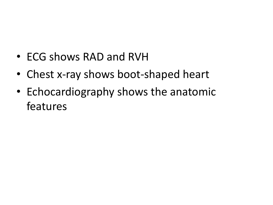- ECG shows RAD and RVH
- Chest x-ray shows boot-shaped heart
- Echocardiography shows the anatomic features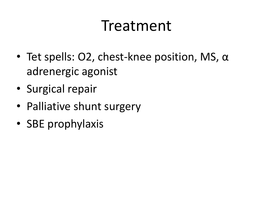- Tet spells: O2, chest-knee position, MS, α adrenergic agonist
- Surgical repair
- Palliative shunt surgery
- SBE prophylaxis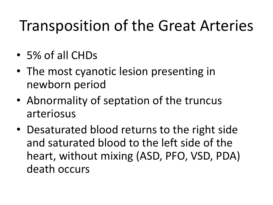### Transposition of the Great Arteries

- 5% of all CHDs
- The most cyanotic lesion presenting in newborn period
- Abnormality of septation of the truncus arteriosus
- Desaturated blood returns to the right side and saturated blood to the left side of the heart, without mixing (ASD, PFO, VSD, PDA) death occurs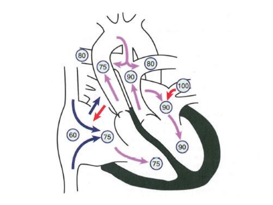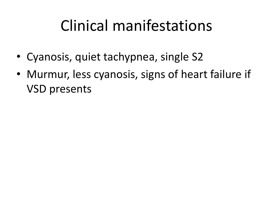- Cyanosis, quiet tachypnea, single S2
- Murmur, less cyanosis, signs of heart failure if VSD presents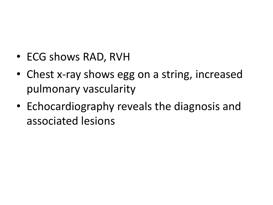- ECG shows RAD, RVH
- Chest x-ray shows egg on a string, increased pulmonary vascularity
- Echocardiography reveals the diagnosis and associated lesions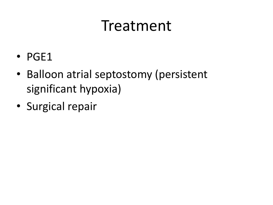- PGE1
- Balloon atrial septostomy (persistent significant hypoxia)
- Surgical repair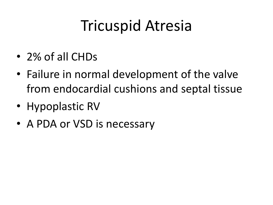# Tricuspid Atresia

- 2% of all CHDs
- Failure in normal development of the valve from endocardial cushions and septal tissue
- Hypoplastic RV
- A PDA or VSD is necessary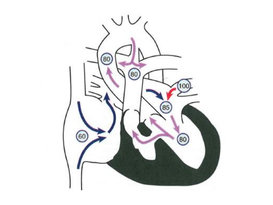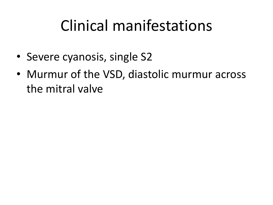- Severe cyanosis, single S2
- Murmur of the VSD, diastolic murmur across the mitral valve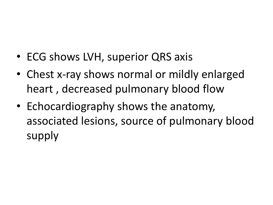- ECG shows LVH, superior QRS axis
- Chest x-ray shows normal or mildly enlarged heart , decreased pulmonary blood flow
- Echocardiography shows the anatomy, associated lesions, source of pulmonary blood supply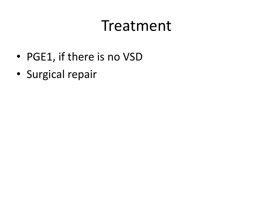- PGE1, if there is no VSD
- Surgical repair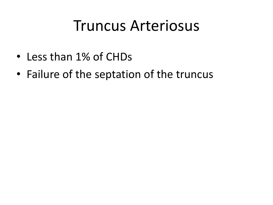### Truncus Arteriosus

- Less than 1% of CHDs
- Failure of the septation of the truncus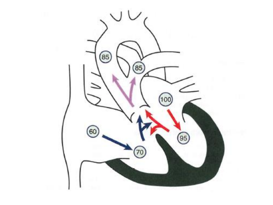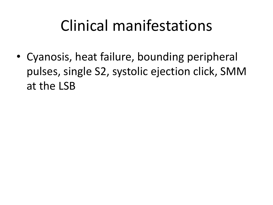• Cyanosis, heat failure, bounding peripheral pulses, single S2, systolic ejection click, SMM at the LSB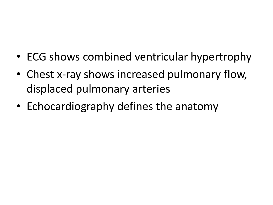- ECG shows combined ventricular hypertrophy
- Chest x-ray shows increased pulmonary flow, displaced pulmonary arteries
- Echocardiography defines the anatomy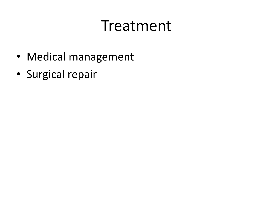- Medical management
- Surgical repair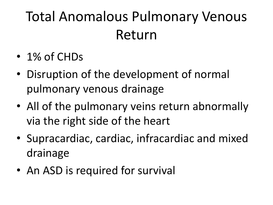### Total Anomalous Pulmonary Venous Return

- 1% of CHDs
- Disruption of the development of normal pulmonary venous drainage
- All of the pulmonary veins return abnormally via the right side of the heart
- Supracardiac, cardiac, infracardiac and mixed drainage
- An ASD is required for survival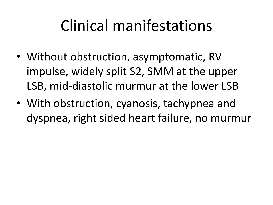- Without obstruction, asymptomatic, RV impulse, widely split S2, SMM at the upper LSB, mid-diastolic murmur at the lower LSB
- With obstruction, cyanosis, tachypnea and dyspnea, right sided heart failure, no murmur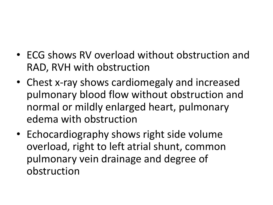- ECG shows RV overload without obstruction and RAD, RVH with obstruction
- Chest x-ray shows cardiomegaly and increased pulmonary blood flow without obstruction and normal or mildly enlarged heart, pulmonary edema with obstruction
- Echocardiography shows right side volume overload, right to left atrial shunt, common pulmonary vein drainage and degree of obstruction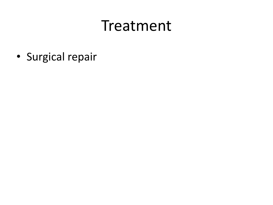• Surgical repair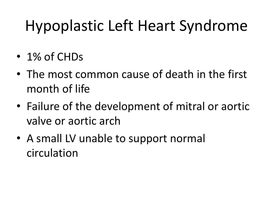## Hypoplastic Left Heart Syndrome

- 1% of CHDs
- The most common cause of death in the first month of life
- Failure of the development of mitral or aortic valve or aortic arch
- A small LV unable to support normal circulation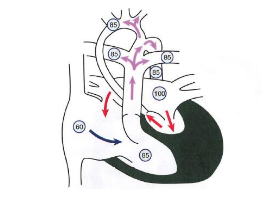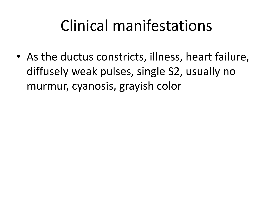• As the ductus constricts, illness, heart failure, diffusely weak pulses, single S2, usually no murmur, cyanosis, grayish color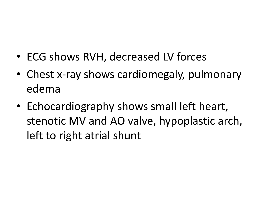- ECG shows RVH, decreased LV forces
- Chest x-ray shows cardiomegaly, pulmonary edema
- Echocardiography shows small left heart, stenotic MV and AO valve, hypoplastic arch, left to right atrial shunt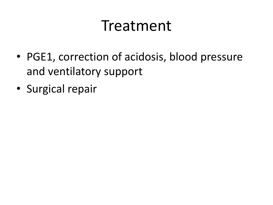- PGE1, correction of acidosis, blood pressure and ventilatory support
- Surgical repair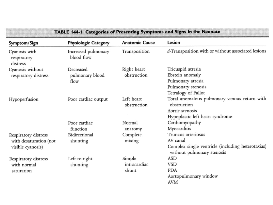| TABLE 144-1 Categories of Presenting Symptoms and Signs in the Neonate |                                   |                           |                                                                                 |
|------------------------------------------------------------------------|-----------------------------------|---------------------------|---------------------------------------------------------------------------------|
| Symptom/Sign                                                           | Physiologic Category              | <b>Anatomic Cause</b>     | Lesion                                                                          |
| Cyanosis with<br>respiratory<br>distress                               | Increased pulmonary<br>blood flow | Transposition             | d-Transposition with or without associated lesions                              |
| Cyanosis without                                                       | Decreased                         | Right heart               | Tricuspid atresia                                                               |
| respiratory distress                                                   | pulmonary blood<br>flow           | obstruction               | Ebstein anomaly                                                                 |
|                                                                        |                                   |                           | Pulmonary atresia                                                               |
|                                                                        |                                   |                           | Pulmonary stenosis                                                              |
|                                                                        |                                   |                           | Tetralogy of Fallot                                                             |
| Hypoperfusion                                                          | Poor cardiac output               | Left heart<br>obstruction | Total anomalous pulmonary venous return with<br>obstruction                     |
|                                                                        |                                   |                           | Aortic stenosis                                                                 |
|                                                                        |                                   |                           | Hypoplastic left heart syndrome                                                 |
|                                                                        | Poor cardiac                      | Normal                    | Cardiomyopathy                                                                  |
|                                                                        | function                          | anatomy                   | Myocarditis                                                                     |
| Respiratory distress                                                   | Bidirectional                     | Complete                  | Truncus arteriosus                                                              |
| with desaturation (not                                                 | shunting                          | mixing                    | AV canal                                                                        |
| visible cyanosis)                                                      |                                   |                           | Complex single ventricle (including heterotaxias)<br>without pulmonary stenosis |
| Respiratory distress                                                   | Left-to-right                     | Simple                    | ASD                                                                             |
| with normal                                                            | shunting                          | intracardiac              | VSD                                                                             |
| saturation                                                             |                                   | shunt                     | PDA                                                                             |
|                                                                        |                                   |                           | Aortopulmonary window                                                           |
|                                                                        |                                   |                           | AVM                                                                             |